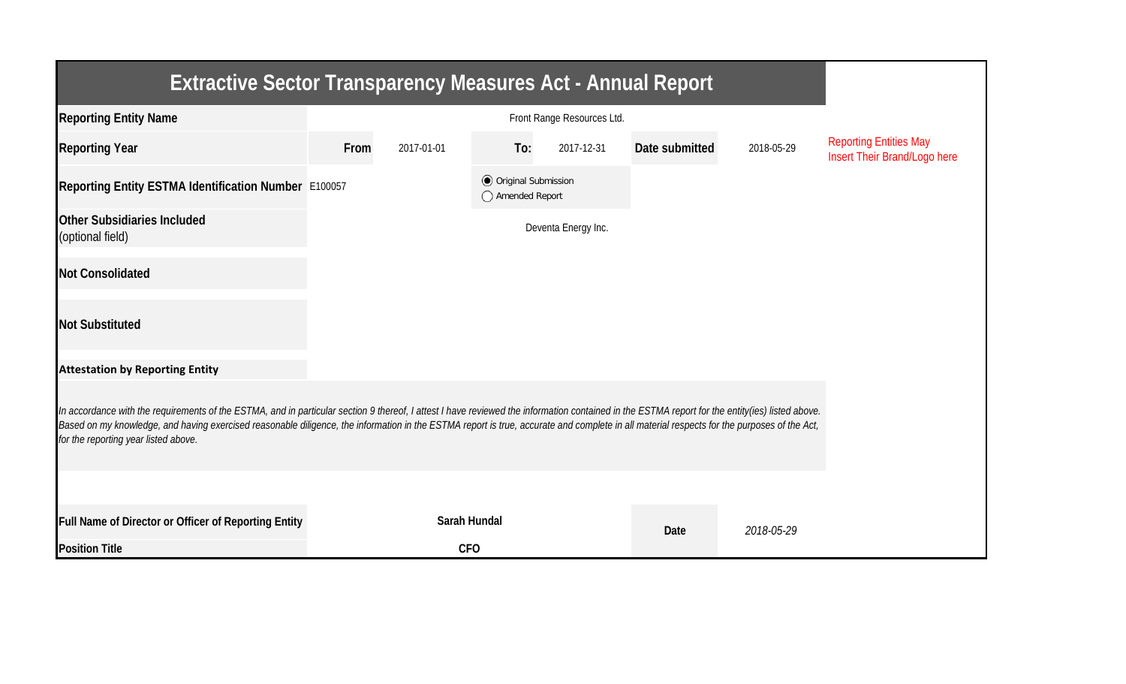| <b>Extractive Sector Transparency Measures Act - Annual Report</b>                                                                                                                                                                                                                                                                                                                                                                    |      |              |                                                  |                     |                |            |                                                               |  |  |  |
|---------------------------------------------------------------------------------------------------------------------------------------------------------------------------------------------------------------------------------------------------------------------------------------------------------------------------------------------------------------------------------------------------------------------------------------|------|--------------|--------------------------------------------------|---------------------|----------------|------------|---------------------------------------------------------------|--|--|--|
| <b>Reporting Entity Name</b>                                                                                                                                                                                                                                                                                                                                                                                                          |      |              |                                                  |                     |                |            |                                                               |  |  |  |
| <b>Reporting Year</b>                                                                                                                                                                                                                                                                                                                                                                                                                 | From | 2017-01-01   | To:                                              | 2017-12-31          | Date submitted | 2018-05-29 | <b>Reporting Entities May</b><br>Insert Their Brand/Logo here |  |  |  |
| Reporting Entity ESTMA Identification Number E100057                                                                                                                                                                                                                                                                                                                                                                                  |      |              | <b>◎</b> Original Submission<br>◯ Amended Report |                     |                |            |                                                               |  |  |  |
| <b>Other Subsidiaries Included</b><br>(optional field)                                                                                                                                                                                                                                                                                                                                                                                |      |              |                                                  | Deventa Energy Inc. |                |            |                                                               |  |  |  |
| <b>Not Consolidated</b>                                                                                                                                                                                                                                                                                                                                                                                                               |      |              |                                                  |                     |                |            |                                                               |  |  |  |
| <b>Not Substituted</b>                                                                                                                                                                                                                                                                                                                                                                                                                |      |              |                                                  |                     |                |            |                                                               |  |  |  |
| <b>Attestation by Reporting Entity</b>                                                                                                                                                                                                                                                                                                                                                                                                |      |              |                                                  |                     |                |            |                                                               |  |  |  |
| In accordance with the requirements of the ESTMA, and in particular section 9 thereof, I attest I have reviewed the information contained in the ESTMA report for the entity(ies) listed above.<br>Based on my knowledge, and having exercised reasonable diligence, the information in the ESTMA report is true, accurate and complete in all material respects for the purposes of the Act,<br>for the reporting year listed above. |      |              |                                                  |                     |                |            |                                                               |  |  |  |
|                                                                                                                                                                                                                                                                                                                                                                                                                                       |      |              |                                                  |                     |                |            |                                                               |  |  |  |
| Full Name of Director or Officer of Reporting Entity                                                                                                                                                                                                                                                                                                                                                                                  |      | Sarah Hundal |                                                  |                     | Date           | 2018-05-29 |                                                               |  |  |  |
| <b>Position Title</b>                                                                                                                                                                                                                                                                                                                                                                                                                 |      | <b>CFO</b>   |                                                  |                     |                |            |                                                               |  |  |  |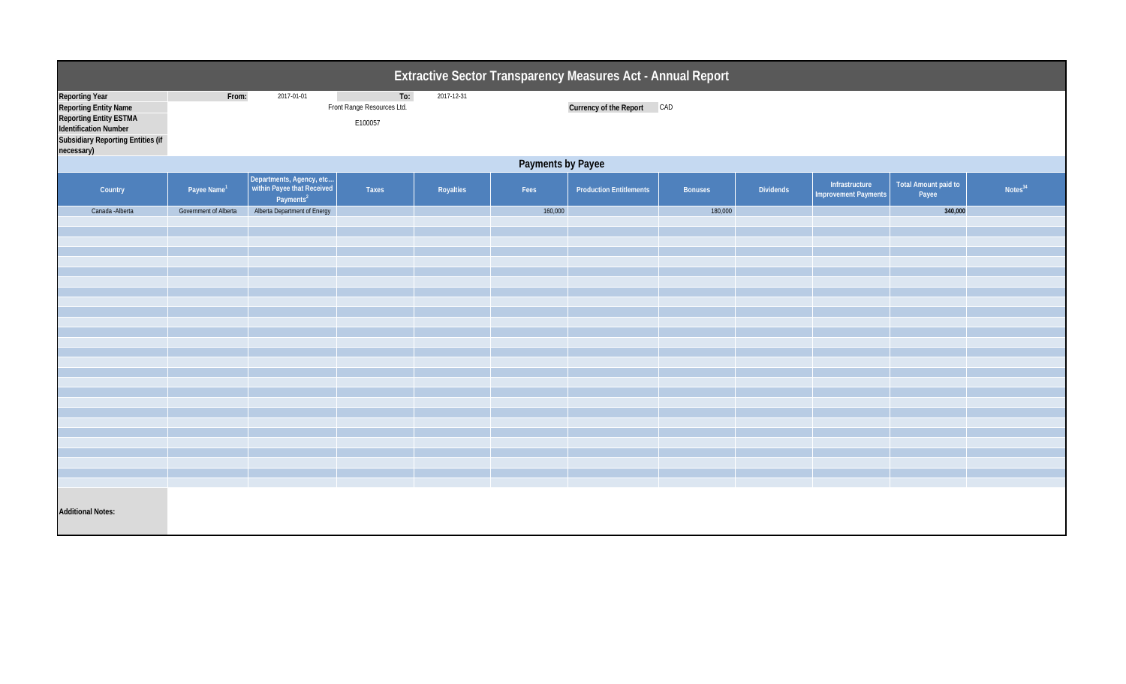| Extractive Sector Transparency Measures Act - Annual Report                                                                                                        |                         |                                                                                 |                                              |            |         |                                |                |           |                                               |                               |                     |  |
|--------------------------------------------------------------------------------------------------------------------------------------------------------------------|-------------------------|---------------------------------------------------------------------------------|----------------------------------------------|------------|---------|--------------------------------|----------------|-----------|-----------------------------------------------|-------------------------------|---------------------|--|
| <b>Reporting Year</b><br><b>Reporting Entity Name</b><br><b>Reporting Entity ESTMA</b><br>Identification Number<br>Subsidiary Reporting Entities (if<br>necessary) | From:                   | 2017-01-01                                                                      | To:<br>Front Range Resources Ltd.<br>E100057 | 2017-12-31 |         | Currency of the Report CAD     |                |           |                                               |                               |                     |  |
| Payments by Payee                                                                                                                                                  |                         |                                                                                 |                                              |            |         |                                |                |           |                                               |                               |                     |  |
| Country                                                                                                                                                            | Payee Name <sup>1</sup> | Departments, Agency, etc<br>within Payee that Received<br>Payments <sup>2</sup> | Taxes                                        | Royalties  | Fees    | <b>Production Entitlements</b> | <b>Bonuses</b> | Dividends | Infrastructure<br><b>Improvement Payments</b> | Total Amount paid to<br>Payee | Notes <sup>34</sup> |  |
| Canada - Alberta                                                                                                                                                   | Government of Alberta   | Alberta Department of Energy                                                    |                                              |            | 160,000 |                                | 180,000        |           |                                               | 340,000                       |                     |  |
|                                                                                                                                                                    |                         |                                                                                 |                                              |            |         |                                |                |           |                                               |                               |                     |  |
|                                                                                                                                                                    |                         |                                                                                 |                                              |            |         |                                |                |           |                                               |                               |                     |  |
|                                                                                                                                                                    |                         |                                                                                 |                                              |            |         |                                |                |           |                                               |                               |                     |  |
|                                                                                                                                                                    |                         |                                                                                 |                                              |            |         |                                |                |           |                                               |                               |                     |  |
|                                                                                                                                                                    |                         |                                                                                 |                                              |            |         |                                |                |           |                                               |                               |                     |  |
|                                                                                                                                                                    |                         |                                                                                 |                                              |            |         |                                |                |           |                                               |                               |                     |  |
|                                                                                                                                                                    |                         |                                                                                 |                                              |            |         |                                |                |           |                                               |                               |                     |  |
|                                                                                                                                                                    |                         |                                                                                 |                                              |            |         |                                |                |           |                                               |                               |                     |  |
|                                                                                                                                                                    |                         |                                                                                 |                                              |            |         |                                |                |           |                                               |                               |                     |  |
|                                                                                                                                                                    |                         |                                                                                 |                                              |            |         |                                |                |           |                                               |                               |                     |  |
|                                                                                                                                                                    |                         |                                                                                 |                                              |            |         |                                |                |           |                                               |                               |                     |  |
|                                                                                                                                                                    |                         |                                                                                 |                                              |            |         |                                |                |           |                                               |                               |                     |  |
|                                                                                                                                                                    |                         |                                                                                 |                                              |            |         |                                |                |           |                                               |                               |                     |  |
|                                                                                                                                                                    |                         |                                                                                 |                                              |            |         |                                |                |           |                                               |                               |                     |  |
|                                                                                                                                                                    |                         |                                                                                 |                                              |            |         |                                |                |           |                                               |                               |                     |  |
|                                                                                                                                                                    |                         |                                                                                 |                                              |            |         |                                |                |           |                                               |                               |                     |  |
| <b>Additional Notes:</b>                                                                                                                                           |                         |                                                                                 |                                              |            |         |                                |                |           |                                               |                               |                     |  |